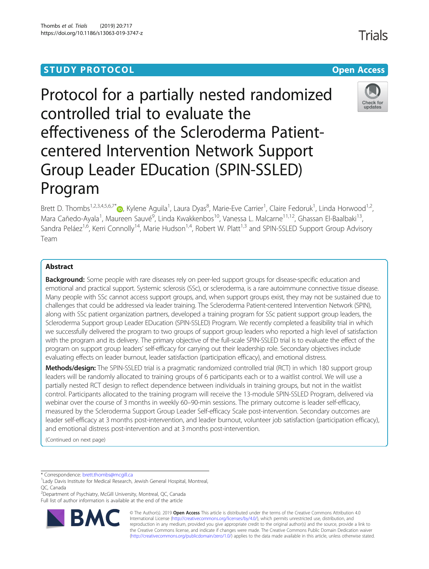# **STUDY PROTOCOL CONSUMING THE RESERVE ACCESS**

# Protocol for a partially nested randomized controlled trial to evaluate the effectiveness of the Scleroderma Patientcentered Intervention Network Support Group Leader EDucation (SPIN-SSLED) Program

Brett D. Thombs<sup>1[,](http://orcid.org/0000-0002-5644-8432)2,3,4,5,6,7\*</sup>®, Kylene Aguila<sup>1</sup>, Laura Dyas<sup>8</sup>, Marie-Eve Carrier<sup>1</sup>, Claire Fedoruk<sup>1</sup>, Linda Horwood<sup>1,2</sup>, Mara Cañedo-Ayala<sup>1</sup>, Maureen Sauvé<sup>9</sup>, Linda Kwakkenbos<sup>10</sup>, Vanessa L. Malcarne<sup>11,12</sup>, Ghassan El-Baalbaki<sup>13</sup>, Sandra Peláez<sup>1,6</sup>, Kerri Connolly<sup>14</sup>, Marie Hudson<sup>1,4</sup>, Robert W. Platt<sup>1,3</sup> and SPIN-SSLED Support Group Advisory Team

## Abstract

**Background:** Some people with rare diseases rely on peer-led support groups for disease-specific education and emotional and practical support. Systemic sclerosis (SSc), or scleroderma, is a rare autoimmune connective tissue disease. Many people with SSc cannot access support groups, and, when support groups exist, they may not be sustained due to challenges that could be addressed via leader training. The Scleroderma Patient-centered Intervention Network (SPIN), along with SSc patient organization partners, developed a training program for SSc patient support group leaders, the Scleroderma Support group Leader EDucation (SPIN-SSLED) Program. We recently completed a feasibility trial in which we successfully delivered the program to two groups of support group leaders who reported a high level of satisfaction with the program and its delivery. The primary objective of the full-scale SPIN-SSLED trial is to evaluate the effect of the program on support group leaders' self-efficacy for carrying out their leadership role. Secondary objectives include evaluating effects on leader burnout, leader satisfaction (participation efficacy), and emotional distress.

Methods/design: The SPIN-SSLED trial is a pragmatic randomized controlled trial (RCT) in which 180 support group leaders will be randomly allocated to training groups of 6 participants each or to a waitlist control. We will use a partially nested RCT design to reflect dependence between individuals in training groups, but not in the waitlist control. Participants allocated to the training program will receive the 13-module SPIN-SSLED Program, delivered via webinar over the course of 3 months in weekly 60–90-min sessions. The primary outcome is leader self-efficacy, measured by the Scleroderma Support Group Leader Self-efficacy Scale post-intervention. Secondary outcomes are leader self-efficacy at 3 months post-intervention, and leader burnout, volunteer job satisfaction (participation efficacy), and emotional distress post-intervention and at 3 months post-intervention.

(Continued on next page)

\* Correspondence: [brett.thombs@mcgill.ca](mailto:brett.thombs@mcgill.ca) <sup>1</sup>

<sup>2</sup> Department of Psychiatry, McGill University, Montreal, QC, Canada Full list of author information is available at the end of the article





© The Author(s). 2019 **Open Access** This article is distributed under the terms of the Creative Commons Attribution 4.0 International License [\(http://creativecommons.org/licenses/by/4.0/](http://creativecommons.org/licenses/by/4.0/)), which permits unrestricted use, distribution, and reproduction in any medium, provided you give appropriate credit to the original author(s) and the source, provide a link to the Creative Commons license, and indicate if changes were made. The Creative Commons Public Domain Dedication waiver [\(http://creativecommons.org/publicdomain/zero/1.0/](http://creativecommons.org/publicdomain/zero/1.0/)) applies to the data made available in this article, unless otherwise stated.



Trials



<sup>&</sup>lt;sup>1</sup> Lady Davis Institute for Medical Research, Jewish General Hospital, Montreal, QC, Canada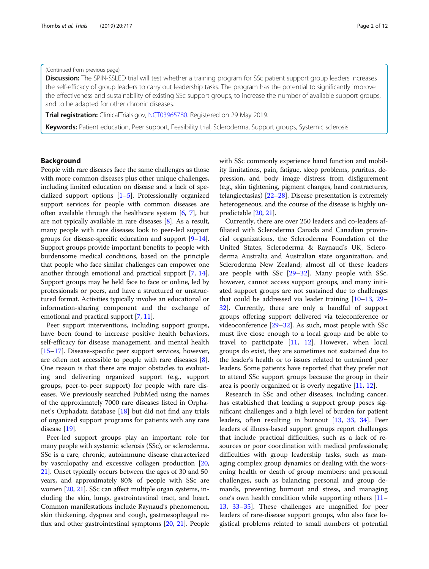## (Continued from previous page)

**Discussion:** The SPIN-SSLED trial will test whether a training program for SSc patient support group leaders increases the self-efficacy of group leaders to carry out leadership tasks. The program has the potential to significantly improve the effectiveness and sustainability of existing SSc support groups, to increase the number of available support groups, and to be adapted for other chronic diseases.

**Trial registration:** ClinicalTrials.gov, [NCT03965780.](https://clinicaltrials.gov/ct2/show/NCT03965780) Registered on 29 May 2019.

Keywords: Patient education, Peer support, Feasibility trial, Scleroderma, Support groups, Systemic sclerosis

## Background

People with rare diseases face the same challenges as those with more common diseases plus other unique challenges, including limited education on disease and a lack of specialized support options [[1](#page-9-0)–[5](#page-9-0)]. Professionally organized support services for people with common diseases are often available through the healthcare system [\[6,](#page-9-0) [7\]](#page-9-0), but are not typically available in rare diseases [\[8\]](#page-9-0). As a result, many people with rare diseases look to peer-led support groups for disease-specific education and support [\[9](#page-9-0)–[14](#page-9-0)]. Support groups provide important benefits to people with burdensome medical conditions, based on the principle that people who face similar challenges can empower one another through emotional and practical support [\[7,](#page-9-0) [14](#page-9-0)]. Support groups may be held face to face or online, led by professionals or peers, and have a structured or unstructured format. Activities typically involve an educational or information-sharing component and the exchange of emotional and practical support [\[7,](#page-9-0) [11](#page-9-0)].

Peer support interventions, including support groups, have been found to increase positive health behaviors, self-efficacy for disease management, and mental health [[15](#page-9-0)–[17](#page-9-0)]. Disease-specific peer support services, however, are often not accessible to people with rare diseases [\[8](#page-9-0)]. One reason is that there are major obstacles to evaluating and delivering organized support (e.g., support groups, peer-to-peer support) for people with rare diseases. We previously searched PubMed using the names of the approximately 7000 rare diseases listed in Orphanet's Orphadata database [[18\]](#page-9-0) but did not find any trials of organized support programs for patients with any rare disease [\[19](#page-9-0)].

Peer-led support groups play an important role for many people with systemic sclerosis (SSc), or scleroderma. SSc is a rare, chronic, autoimmune disease characterized by vasculopathy and excessive collagen production [[20](#page-10-0), [21](#page-10-0)]. Onset typically occurs between the ages of 30 and 50 years, and approximately 80% of people with SSc are women [\[20,](#page-10-0) [21](#page-10-0)]. SSc can affect multiple organ systems, including the skin, lungs, gastrointestinal tract, and heart. Common manifestations include Raynaud's phenomenon, skin thickening, dyspnea and cough, gastroesophageal reflux and other gastrointestinal symptoms [\[20,](#page-10-0) [21](#page-10-0)]. People with SSc commonly experience hand function and mobility limitations, pain, fatigue, sleep problems, pruritus, depression, and body image distress from disfigurement (e.g., skin tightening, pigment changes, hand contractures, telangiectasias) [[22](#page-10-0)–[28\]](#page-10-0). Disease presentation is extremely heterogeneous, and the course of the disease is highly unpredictable [[20](#page-10-0), [21\]](#page-10-0).

Currently, there are over 250 leaders and co-leaders affiliated with Scleroderma Canada and Canadian provincial organizations, the Scleroderma Foundation of the United States, Scleroderma & Raynaud's UK, Scleroderma Australia and Australian state organization, and Scleroderma New Zealand; almost all of these leaders are people with SSc [\[29](#page-10-0)–[32\]](#page-10-0). Many people with SSc, however, cannot access support groups, and many initiated support groups are not sustained due to challenges that could be addressed via leader training  $[10-13, 29 [10-13, 29 [10-13, 29 [10-13, 29 [10-13, 29 [10-13, 29-$ [32\]](#page-10-0). Currently, there are only a handful of support groups offering support delivered via teleconference or videoconference [\[29](#page-10-0)–[32\]](#page-10-0). As such, most people with SSc must live close enough to a local group and be able to travel to participate [\[11](#page-9-0), [12](#page-9-0)]. However, when local groups do exist, they are sometimes not sustained due to the leader's health or to issues related to untrained peer leaders. Some patients have reported that they prefer not to attend SSc support groups because the group in their area is poorly organized or is overly negative [[11,](#page-9-0) [12\]](#page-9-0).

Research in SSc and other diseases, including cancer, has established that leading a support group poses significant challenges and a high level of burden for patient leaders, often resulting in burnout [\[13](#page-9-0), [33,](#page-10-0) [34\]](#page-10-0). Peer leaders of illness-based support groups report challenges that include practical difficulties, such as a lack of resources or poor coordination with medical professionals; difficulties with group leadership tasks, such as managing complex group dynamics or dealing with the worsening health or death of group members; and personal challenges, such as balancing personal and group demands, preventing burnout and stress, and managing one's own health condition while supporting others [[11](#page-9-0)– [13,](#page-9-0) [33](#page-10-0)–[35](#page-10-0)]. These challenges are magnified for peer leaders of rare-disease support groups, who also face logistical problems related to small numbers of potential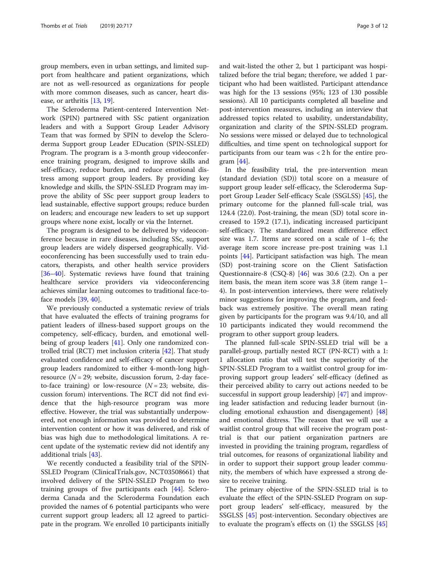group members, even in urban settings, and limited support from healthcare and patient organizations, which are not as well-resourced as organizations for people with more common diseases, such as cancer, heart disease, or arthritis [[13,](#page-9-0) [19\]](#page-9-0).

The Scleroderma Patient-centered Intervention Network (SPIN) partnered with SSc patient organization leaders and with a Support Group Leader Advisory Team that was formed by SPIN to develop the Scleroderma Support group Leader EDucation (SPIN-SSLED) Program. The program is a 3-month group videoconference training program, designed to improve skills and self-efficacy, reduce burden, and reduce emotional distress among support group leaders. By providing key knowledge and skills, the SPIN-SSLED Program may improve the ability of SSc peer support group leaders to lead sustainable, effective support groups; reduce burden on leaders; and encourage new leaders to set up support groups where none exist, locally or via the Internet.

The program is designed to be delivered by videoconference because in rare diseases, including SSc, support group leaders are widely dispersed geographically. Videoconferencing has been successfully used to train educators, therapists, and other health service providers [[36](#page-10-0)–[40](#page-10-0)]. Systematic reviews have found that training healthcare service providers via videoconferencing achieves similar learning outcomes to traditional face-toface models [\[39,](#page-10-0) [40\]](#page-10-0).

We previously conducted a systematic review of trials that have evaluated the effects of training programs for patient leaders of illness-based support groups on the competency, self-efficacy, burden, and emotional well-being of group leaders [[41\]](#page-10-0). Only one randomized controlled trial (RCT) met inclusion criteria [\[42\]](#page-10-0). That study evaluated confidence and self-efficacy of cancer support group leaders randomized to either 4-month-long highresource  $(N = 29)$ ; website, discussion forum, 2-day faceto-face training) or low-resource  $(N = 23)$ ; website, discussion forum) interventions. The RCT did not find evidence that the high-resource program was more effective. However, the trial was substantially underpowered, not enough information was provided to determine intervention content or how it was delivered, and risk of bias was high due to methodological limitations. A recent update of the systematic review did not identify any additional trials [\[43](#page-10-0)].

We recently conducted a feasibility trial of the SPIN-SSLED Program (ClinicalTrials.gov, NCT03508661) that involved delivery of the SPIN-SSLED Program to two training groups of five participants each [\[44](#page-10-0)]. Scleroderma Canada and the Scleroderma Foundation each provided the names of 6 potential participants who were current support group leaders; all 12 agreed to participate in the program. We enrolled 10 participants initially and wait-listed the other 2, but 1 participant was hospitalized before the trial began; therefore, we added 1 participant who had been waitlisted. Participant attendance was high for the 13 sessions (95%; 123 of 130 possible sessions). All 10 participants completed all baseline and post-intervention measures, including an interview that addressed topics related to usability, understandability, organization and clarity of the SPIN-SSLED program. No sessions were missed or delayed due to technological difficulties, and time spent on technological support for participants from our team was < 2 h for the entire program [[44\]](#page-10-0).

In the feasibility trial, the pre-intervention mean (standard deviation (SD)) total score on a measure of support group leader self-efficacy, the Scleroderma Support Group Leader Self-efficacy Scale (SSGLSS) [\[45](#page-10-0)], the primary outcome for the planned full-scale trial, was 124.4 (22.0). Post-training, the mean (SD) total score increased to 159.2 (17.1), indicating increased participant self-efficacy. The standardized mean difference effect size was 1.7. Items are scored on a scale of 1–6; the average item score increase pre-post training was 1.1 points [[44\]](#page-10-0). Participant satisfaction was high. The mean (SD) post-training score on the Client Satisfaction Questionnaire-8 (CSQ-8) [[46\]](#page-10-0) was 30.6 (2.2). On a per item basis, the mean item score was 3.8 (item range 1– 4). In post-intervention interviews, there were relatively minor suggestions for improving the program, and feedback was extremely positive. The overall mean rating given by participants for the program was 9.4/10, and all 10 participants indicated they would recommend the program to other support group leaders.

The planned full-scale SPIN-SSLED trial will be a parallel-group, partially nested RCT (PN-RCT) with a 1: 1 allocation ratio that will test the superiority of the SPIN-SSLED Program to a waitlist control group for improving support group leaders' self-efficacy (defined as their perceived ability to carry out actions needed to be successful in support group leadership) [[47\]](#page-10-0) and improving leader satisfaction and reducing leader burnout (including emotional exhaustion and disengagement) [[48](#page-10-0)] and emotional distress. The reason that we will use a waitlist control group that will receive the program posttrial is that our patient organization partners are invested in providing the training program, regardless of trial outcomes, for reasons of organizational liability and in order to support their support group leader community, the members of which have expressed a strong desire to receive training.

The primary objective of the SPIN-SSLED trial is to evaluate the effect of the SPIN-SSLED Program on support group leaders' self-efficacy, measured by the SSGLSS [\[45](#page-10-0)] post-intervention. Secondary objectives are to evaluate the program's effects on (1) the SSGLSS [[45](#page-10-0)]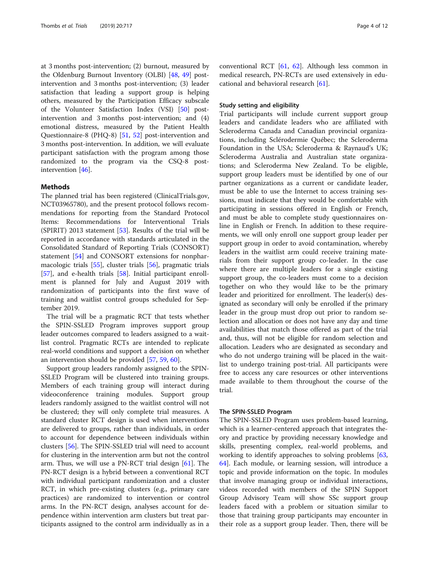at 3 months post-intervention; (2) burnout, measured by the Oldenburg Burnout Inventory (OLBI) [\[48](#page-10-0), [49\]](#page-10-0) postintervention and 3 months post-intervention; (3) leader satisfaction that leading a support group is helping others, measured by the Participation Efficacy subscale of the Volunteer Satisfaction Index (VSI) [\[50](#page-10-0)] postintervention and 3 months post-intervention; and (4) emotional distress, measured by the Patient Health Questionnaire-8 (PHQ-8) [\[51,](#page-10-0) [52](#page-10-0)] post-intervention and 3 months post-intervention. In addition, we will evaluate participant satisfaction with the program among those randomized to the program via the CSQ-8 postintervention [[46](#page-10-0)].

## **Methods**

The planned trial has been registered (ClinicalTrials.gov, NCT03965780), and the present protocol follows recommendations for reporting from the Standard Protocol Items: Recommendations for Interventional Trials (SPIRIT) 2013 statement [\[53](#page-10-0)]. Results of the trial will be reported in accordance with standards articulated in the Consolidated Standard of Reporting Trials (CONSORT) statement [[54\]](#page-10-0) and CONSORT extensions for nonpharmacologic trials [\[55](#page-10-0)], cluster trials [[56\]](#page-10-0), pragmatic trials [[57\]](#page-10-0), and e-health trials [[58](#page-10-0)]. Initial participant enrollment is planned for July and August 2019 with randomization of participants into the first wave of training and waitlist control groups scheduled for September 2019.

The trial will be a pragmatic RCT that tests whether the SPIN-SSLED Program improves support group leader outcomes compared to leaders assigned to a waitlist control. Pragmatic RCTs are intended to replicate real-world conditions and support a decision on whether an intervention should be provided [[57,](#page-10-0) [59,](#page-10-0) [60\]](#page-10-0).

Support group leaders randomly assigned to the SPIN-SSLED Program will be clustered into training groups. Members of each training group will interact during videoconference training modules. Support group leaders randomly assigned to the waitlist control will not be clustered; they will only complete trial measures. A standard cluster RCT design is used when interventions are delivered to groups, rather than individuals, in order to account for dependence between individuals within clusters [[56\]](#page-10-0). The SPIN-SSLED trial will need to account for clustering in the intervention arm but not the control arm. Thus, we will use a PN-RCT trial design [[61](#page-10-0)]. The PN-RCT design is a hybrid between a conventional RCT with individual participant randomization and a cluster RCT, in which pre-existing clusters (e.g., primary care practices) are randomized to intervention or control arms. In the PN-RCT design, analyses account for dependence within intervention arm clusters but treat participants assigned to the control arm individually as in a

conventional RCT [\[61](#page-10-0), [62](#page-10-0)]. Although less common in medical research, PN-RCTs are used extensively in educational and behavioral research [[61\]](#page-10-0).

## Study setting and eligibility

Trial participants will include current support group leaders and candidate leaders who are affiliated with Scleroderma Canada and Canadian provincial organizations, including Sclérodermie Québec; the Scleroderma Foundation in the USA; Scleroderma & Raynaud's UK; Scleroderma Australia and Australian state organizations; and Scleroderma New Zealand. To be eligible, support group leaders must be identified by one of our partner organizations as a current or candidate leader, must be able to use the Internet to access training sessions, must indicate that they would be comfortable with participating in sessions offered in English or French, and must be able to complete study questionnaires online in English or French. In addition to these requirements, we will only enroll one support group leader per support group in order to avoid contamination, whereby leaders in the waitlist arm could receive training materials from their support group co-leader. In the case where there are multiple leaders for a single existing support group, the co-leaders must come to a decision together on who they would like to be the primary leader and prioritized for enrollment. The leader(s) designated as secondary will only be enrolled if the primary leader in the group must drop out prior to random selection and allocation or does not have any day and time availabilities that match those offered as part of the trial and, thus, will not be eligible for random selection and allocation. Leaders who are designated as secondary and who do not undergo training will be placed in the waitlist to undergo training post-trial. All participants were free to access any care resources or other interventions made available to them throughout the course of the trial.

## The SPIN-SSLED Program

The SPIN-SSLED Program uses problem-based learning, which is a learner-centered approach that integrates theory and practice by providing necessary knowledge and skills, presenting complex, real-world problems, and working to identify approaches to solving problems [[63](#page-10-0), [64\]](#page-10-0). Each module, or learning session, will introduce a topic and provide information on the topic. In modules that involve managing group or individual interactions, videos recorded with members of the SPIN Support Group Advisory Team will show SSc support group leaders faced with a problem or situation similar to those that training group participants may encounter in their role as a support group leader. Then, there will be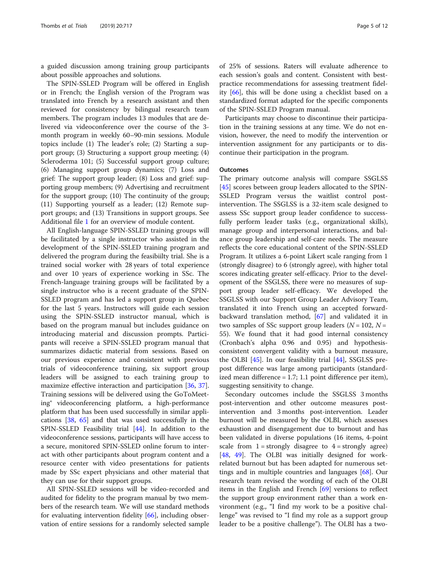a guided discussion among training group participants about possible approaches and solutions.

The SPIN-SSLED Program will be offered in English or in French; the English version of the Program was translated into French by a research assistant and then reviewed for consistency by bilingual research team members. The program includes 13 modules that are delivered via videoconference over the course of the 3 month program in weekly 60–90-min sessions. Module topics include (1) The leader's role; (2) Starting a support group; (3) Structuring a support group meeting; (4) Scleroderma 101; (5) Successful support group culture; (6) Managing support group dynamics; (7) Loss and grief: The support group leader; (8) Loss and grief: supporting group members; (9) Advertising and recruitment for the support group; (10) The continuity of the group; (11) Supporting yourself as a leader; (12) Remote support groups; and (13) Transitions in support groups. See Additional file [1](#page-9-0) for an overview of module content.

All English-language SPIN-SSLED training groups will be facilitated by a single instructor who assisted in the development of the SPIN-SSLED training program and delivered the program during the feasibiilty trial. She is a trained social worker with 28 years of total experience and over 10 years of experience working in SSc. The French-language training groups will be facilitated by a single instructor who is a recent graduate of the SPIN-SSLED program and has led a support group in Quebec for the last 5 years. Instructors will guide each session using the SPIN-SSLED instructor manual, which is based on the program manual but includes guidance on introducing material and discussion prompts. Participants will receive a SPIN-SSLED program manual that summarizes didactic material from sessions. Based on our previous experience and consistent with previous trials of videoconference training, six support group leaders will be assigned to each training group to maximize effective interaction and participation [\[36](#page-10-0), [37](#page-10-0)]. Training sessions will be delivered using the GoToMeeting® videoconferencing platform, a high-performance platform that has been used successfully in similar applications [[38](#page-10-0), [65](#page-11-0)] and that was used successfully in the SPIN-SSLED Feasibility trial [[44\]](#page-10-0). In addition to the videoconference sessions, participants will have access to a secure, monitored SPIN-SSLED online forum to interact with other participants about program content and a resource center with video presentations for patients made by SSc expert physicians and other material that they can use for their support groups.

All SPIN-SSLED sessions will be video-recorded and audited for fidelity to the program manual by two members of the research team. We will use standard methods for evaluating intervention fidelity [[66](#page-11-0)], including observation of entire sessions for a randomly selected sample

of 25% of sessions. Raters will evaluate adherence to each session's goals and content. Consistent with bestpractice recommendations for assessing treatment fidelity [\[66](#page-11-0)], this will be done using a checklist based on a standardized format adapted for the specific components of the SPIN-SSLED Program manual.

Participants may choose to discontinue their participation in the training sessions at any time. We do not envision, however, the need to modify the intervention or intervention assignment for any participants or to discontinue their participation in the program.

### **Outcomes**

The primary outcome analysis will compare SSGLSS [[45\]](#page-10-0) scores between group leaders allocated to the SPIN-SSLED Program versus the waitlist control postintervention. The SSGLSS is a 32-item scale designed to assess SSc support group leader confidence to successfully perform leader tasks (e.g., organizational skills), manage group and interpersonal interactions, and balance group leadership and self-care needs. The measure reflects the core educational content of the SPIN-SSLED Program. It utilizes a 6-point Likert scale ranging from 1 (strongly disagree) to 6 (strongly agree), with higher total scores indicating greater self-efficacy. Prior to the development of the SSGLSS, there were no measures of support group leader self-efficacy. We developed the SSGLSS with our Support Group Leader Advisory Team, translated it into French using an accepted forwardbackward translation method, [[67](#page-11-0)] and validated it in two samples of SSc support group leaders ( $N = 102$ ,  $N =$ 55). We found that it had good internal consistency (Cronbach's alpha 0.96 and 0.95) and hypothesisconsistent convergent validity with a burnout measure, the OLBI [[45\]](#page-10-0). In our feasibility trial [[44\]](#page-10-0), SSGLSS prepost difference was large among participants (standardized mean difference = 1.7; 1.1 point difference per item), suggesting sensitivity to change.

Secondary outcomes include the SSGLSS 3 months post-intervention and other outcome measures postintervention and 3 months post-intervention. Leader burnout will be measured by the OLBI, which assesses exhaustion and disengagement due to burnout and has been validated in diverse populations (16 items, 4-point scale from  $1 =$  strongly disagree to  $4 =$  strongly agree) [[48,](#page-10-0) [49\]](#page-10-0). The OLBI was initially designed for workrelated burnout but has been adapted for numerous settings and in multiple countries and languages [\[68\]](#page-11-0). Our research team revised the wording of each of the OLBI items in the English and French [\[69\]](#page-11-0) versions to reflect the support group environment rather than a work environment (e.g., "I find my work to be a positive challenge" was revised to "I find my role as a support group leader to be a positive challenge"). The OLBI has a two-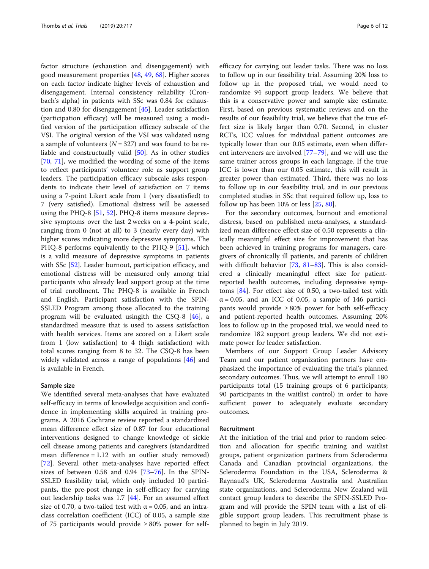factor structure (exhaustion and disengagement) with good measurement properties [[48,](#page-10-0) [49,](#page-10-0) [68\]](#page-11-0). Higher scores on each factor indicate higher levels of exhaustion and disengagement. Internal consistency reliability (Cronbach's alpha) in patients with SSc was 0.84 for exhaustion and 0.80 for disengagement [[45\]](#page-10-0). Leader satisfaction (participation efficacy) will be measured using a modified version of the participation efficacy subscale of the VSI. The original version of the VSI was validated using a sample of volunteers  $(N = 327)$  and was found to be reliable and constructually valid [\[50\]](#page-10-0). As in other studies [[70,](#page-11-0) [71](#page-11-0)], we modified the wording of some of the items to reflect participants' volunteer role as support group leaders. The participation efficacy subscale asks respondents to indicate their level of satisfaction on 7 items using a 7-point Likert scale from 1 (very dissatisfied) to 7 (very satisfied). Emotional distress will be assessed using the PHQ-8 [[51,](#page-10-0) [52](#page-10-0)]. PHQ-8 items measure depressive symptoms over the last 2 weeks on a 4-point scale, ranging from 0 (not at all) to 3 (nearly every day) with higher scores indicating more depressive symptoms. The PHQ-8 performs equivalently to the PHQ-9 [\[51](#page-10-0)], which is a valid measure of depressive symptoms in patients with SSc [\[52\]](#page-10-0). Leader burnout, participation efficacy, and emotional distress will be measured only among trial participants who already lead support group at the time of trial enrollment. The PHQ-8 is available in French and English. Participant satisfaction with the SPIN-SSLED Program among those allocated to the training program will be evaluated usingith the CSQ-8 [[46\]](#page-10-0), a standardized measure that is used to assess satisfaction with health services. Items are scored on a Likert scale from 1 (low satisfaction) to 4 (high satisfaction) with total scores ranging from 8 to 32. The CSQ-8 has been widely validated across a range of populations [\[46](#page-10-0)] and is available in French.

## Sample size

We identified several meta-analyses that have evaluated self-efficacy in terms of knowledge acquisition and confidence in implementing skills acquired in training programs. A 2016 Cochrane review reported a standardized mean difference effect size of 0.87 for four educational interventions designed to change knowledge of sickle cell disease among patients and caregivers (standardized mean difference  $= 1.12$  with an outlier study removed) [[72\]](#page-11-0). Several other meta-analyses have reported effect sizes of between 0.58 and 0.94  $[73-76]$  $[73-76]$  $[73-76]$  $[73-76]$  $[73-76]$ . In the SPIN-SSLED feasibility trial, which only included 10 participants, the pre-post change in self-efficacy for carrying out leadership tasks was  $1.7$  [\[44\]](#page-10-0). For an assumed effect size of 0.70, a two-tailed test with  $\alpha$  = 0.05, and an intraclass correlation coefficient (ICC) of 0.05, a sample size of 75 participants would provide ≥ 80% power for selfefficacy for carrying out leader tasks. There was no loss to follow up in our feasibility trial. Assuming 20% loss to follow up in the proposed trial, we would need to randomize 94 support group leaders. We believe that this is a conservative power and sample size estimate. First, based on previous systematic reviews and on the results of our feasibility trial, we believe that the true effect size is likely larger than 0.70. Second, in cluster RCTs, ICC values for individual patient outcomes are typically lower than our 0.05 estimate, even when different interveners are involved [\[77](#page-11-0)–[79\]](#page-11-0), and we will use the same trainer across groups in each language. If the true ICC is lower than our 0.05 estimate, this will result in greater power than estimated. Third, there was no loss to follow up in our feasibility trial, and in our previous completed studies in SSc that required follow up, loss to follow up has been 10% or less [[25,](#page-10-0) [80\]](#page-11-0).

For the secondary outcomes, burnout and emotional distress, based on published meta-analyses, a standardized mean difference effect size of 0.50 represents a clinically meaningful effect size for improvement that has been achieved in training programs for managers, caregivers of chronically ill patients, and parents of children with difficult behavior [[73,](#page-11-0) [81](#page-11-0)–[83](#page-11-0)]. This is also considered a clinically meaningful effect size for patientreported health outcomes, including depressive symptoms [\[84\]](#page-11-0). For effect size of 0.50, a two-tailed test with  $\alpha$  = 0.05, and an ICC of 0.05, a sample of 146 participants would provide  $\geq 80\%$  power for both self-efficacy and patient-reported health outcomes. Assuming 20% loss to follow up in the proposed trial, we would need to randomize 182 support group leaders. We did not estimate power for leader satisfaction.

Members of our Support Group Leader Advisory Team and our patient organization partners have emphasized the importance of evaluating the trial's planned secondary outcomes. Thus, we will attempt to enroll 180 participants total (15 training groups of 6 participants; 90 participants in the waitlist control) in order to have sufficient power to adequately evaluate secondary outcomes.

## Recruitment

At the initiation of the trial and prior to random selection and allocation for specific training and waitlist groups, patient organization partners from Scleroderma Canada and Canadian provincial organizations, the Scleroderma Foundation in the USA, Scleroderma & Raynaud's UK, Scleroderma Australia and Australian state organizations, and Scleroderma New Zealand will contact group leaders to describe the SPIN-SSLED Program and will provide the SPIN team with a list of eligible support group leaders. This recruitment phase is planned to begin in July 2019.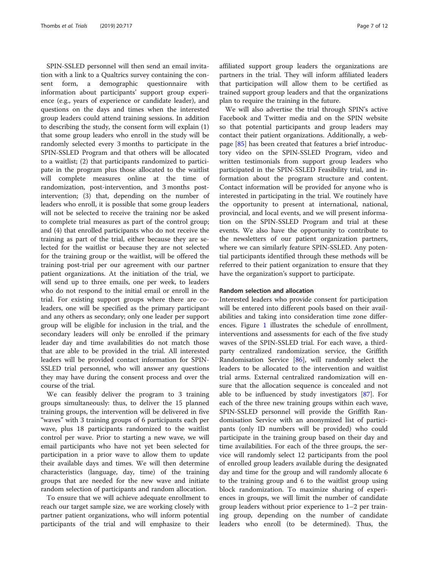SPIN-SSLED personnel will then send an email invitation with a link to a Qualtrics survey containing the consent form, a demographic questionnaire with information about participants' support group experience (e.g., years of experience or candidate leader), and questions on the days and times when the interested group leaders could attend training sessions. In addition to describing the study, the consent form will explain (1) that some group leaders who enroll in the study will be randomly selected every 3 months to participate in the SPIN-SSLED Program and that others will be allocated to a waitlist; (2) that participants randomized to participate in the program plus those allocated to the waitlist will complete measures online at the time of randomization, post-intervention, and 3 months postintervention; (3) that, depending on the number of leaders who enroll, it is possible that some group leaders will not be selected to receive the training nor be asked to complete trial measures as part of the control group; and (4) that enrolled participants who do not receive the training as part of the trial, either because they are selected for the waitlist or because they are not selected for the training group or the waitlist, will be offered the training post-trial per our agreement with our partner patient organizations. At the initiation of the trial, we will send up to three emails, one per week, to leaders who do not respond to the initial email or enroll in the trial. For existing support groups where there are coleaders, one will be specified as the primary participant and any others as secondary; only one leader per support group will be eligible for inclusion in the trial, and the secondary leaders will only be enrolled if the primary leader day and time availabilities do not match those that are able to be provided in the trial. All interested leaders will be provided contact information for SPIN-SSLED trial personnel, who will answer any questions they may have during the consent process and over the course of the trial.

We can feasibly deliver the program to 3 training groups simultaneously: thus, to deliver the 15 planned training groups, the intervention will be delivered in five "waves" with 3 training groups of 6 participants each per wave, plus 18 participants randomized to the waitlist control per wave. Prior to starting a new wave, we will email participants who have not yet been selected for participation in a prior wave to allow them to update their available days and times. We will then determine characteristics (language, day, time) of the training groups that are needed for the new wave and initiate random selection of participants and random allocation.

To ensure that we will achieve adequate enrollment to reach our target sample size, we are working closely with partner patient organizations, who will inform potential participants of the trial and will emphasize to their affiliated support group leaders the organizations are partners in the trial. They will inform affiliated leaders that participation will allow them to be certified as trained support group leaders and that the organizations plan to require the training in the future.

We will also advertise the trial through SPIN's active Facebook and Twitter media and on the SPIN website so that potential participants and group leaders may contact their patient organizations. Additionally, a webpage [[85](#page-11-0)] has been created that features a brief introductory video on the SPIN-SSLED Program, video and written testimonials from support group leaders who participated in the SPIN-SSLED Feasibility trial, and information about the program structure and content. Contact information will be provided for anyone who is interested in participating in the trial. We routinely have the opportunity to present at international, national, provincial, and local events, and we will present information on the SPIN-SSLED Program and trial at these events. We also have the opportunity to contribute to the newsletters of our patient organization partners, where we can similarly feature SPIN-SSLED. Any potential participants identified through these methods will be referred to their patient organization to ensure that they have the organization's support to participate.

## Random selection and allocation

Interested leaders who provide consent for participation will be entered into different pools based on their availabilities and taking into consideration time zone differences. Figure [1](#page-7-0) illustrates the schedule of enrollment, interventions and assessments for each of the five study waves of the SPIN-SSLED trial. For each wave, a thirdparty centralized randomization service, the Griffith Randomisation Service [\[86](#page-11-0)], will randomly select the leaders to be allocated to the intervention and waitlist trial arms. External centralized randomization will ensure that the allocation sequence is concealed and not able to be influenced by study investigators [\[87](#page-11-0)]. For each of the three new training groups within each wave, SPIN-SSLED personnel will provide the Griffith Randomisation Service with an anonymized list of participants (only ID numbers will be provided) who could participate in the training group based on their day and time availabilities. For each of the three groups, the service will randomly select 12 participants from the pool of enrolled group leaders available during the designated day and time for the group and will randomly allocate 6 to the training group and 6 to the waitlist group using block randomization. To maximize sharing of experiences in groups, we will limit the number of candidate group leaders without prior experience to 1–2 per training group, depending on the number of candidate leaders who enroll (to be determined). Thus, the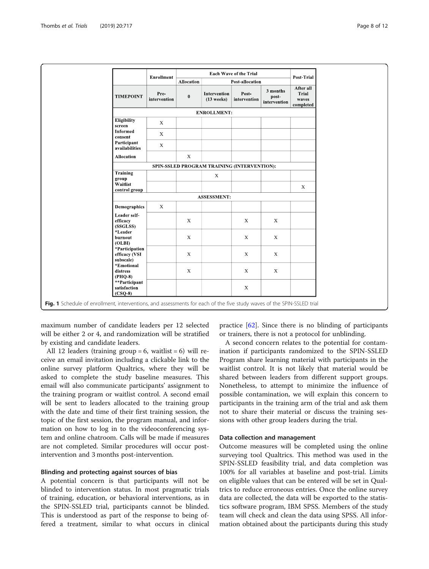<span id="page-7-0"></span>

|                                              | <b>Enrollment</b>    | <b>Each Wave of the Trial</b> |                              |                                             |                                   | Post-Trial                               |
|----------------------------------------------|----------------------|-------------------------------|------------------------------|---------------------------------------------|-----------------------------------|------------------------------------------|
|                                              |                      | Allocation<br>Post-allocation |                              |                                             |                                   |                                          |
| <b>TIMEPOINT</b>                             | Pre-<br>intervention | $\pmb{0}$                     | Intervention<br>$(13$ weeks) | Post-<br>intervention                       | 3 months<br>post-<br>intervention | After all<br>Trial<br>waves<br>completed |
|                                              |                      |                               | <b>ENROLLMENT:</b>           |                                             |                                   |                                          |
| <b>Eligibility</b><br>screen                 | $\mathbf X$          |                               |                              |                                             |                                   |                                          |
| <b>Informed</b><br>consent                   | $\mathbf X$          |                               |                              |                                             |                                   |                                          |
| Participant<br>availabilities                | $\mathbf X$          |                               |                              |                                             |                                   |                                          |
| <b>Allocation</b>                            |                      | $\mathbf X$                   |                              |                                             |                                   |                                          |
|                                              |                      |                               |                              | SPIN-SSLED PROGRAM TRAINING (INTERVENTION): |                                   |                                          |
| Training<br>group<br>Waitlist                |                      |                               | $\mathbf X$                  |                                             |                                   |                                          |
| control group                                |                      |                               |                              |                                             |                                   | $\mathbf{X}$                             |
|                                              |                      |                               | <b>ASSESSMENT:</b>           |                                             |                                   |                                          |
| <b>Demographics</b>                          | $\mathbf X$          |                               |                              |                                             |                                   |                                          |
| Leader self-<br>efficacy<br>(SSGLSS)         |                      | $\mathbf X$                   |                              | $\mathbf X$                                 | $\mathbf X$                       |                                          |
| *Leader<br>burnout<br>(OLBI)                 |                      | $\mathbf X$                   |                              | $\mathbf X$                                 | $\boldsymbol{\mathrm{X}}$         |                                          |
| *Participation<br>efficacy (VSI<br>subscale) |                      | $\mathbf X$                   |                              | $\mathbf X$                                 | $\mathbf X$                       |                                          |
| *Emotional<br>distress<br>$(PHQ-8)$          |                      | $\mathbf X$                   |                              | $\mathbf X$                                 | $\mathbf{X}$                      |                                          |
| **Participant<br>satisfaction<br>$(CSQ-8)$   |                      |                               |                              | $\mathbf X$                                 |                                   |                                          |

maximum number of candidate leaders per 12 selected will be either 2 or 4, and randomization will be stratified by existing and candidate leaders.

All 12 leaders (training group  $= 6$ , waitlist  $= 6$ ) will receive an email invitation including a clickable link to the online survey platform Qualtrics, where they will be asked to complete the study baseline measures. This email will also communicate participants' assignment to the training program or waitlist control. A second email will be sent to leaders allocated to the training group with the date and time of their first training session, the topic of the first session, the program manual, and information on how to log in to the videoconferencing system and online chatroom. Calls will be made if measures are not completed. Similar procedures will occur postintervention and 3 months post-intervention.

## Blinding and protecting against sources of bias

A potential concern is that participants will not be blinded to intervention status. In most pragmatic trials of training, education, or behavioral interventions, as in the SPIN-SSLED trial, participants cannot be blinded. This is understood as part of the response to being offered a treatment, similar to what occurs in clinical

practice [\[62](#page-10-0)]. Since there is no blinding of participants or trainers, there is not a protocol for unblinding.

A second concern relates to the potential for contamination if participants randomized to the SPIN-SSLED Program share learning material with participants in the waitlist control. It is not likely that material would be shared between leaders from different support groups. Nonetheless, to attempt to minimize the influence of possible contamination, we will explain this concern to participants in the training arm of the trial and ask them not to share their material or discuss the training sessions with other group leaders during the trial.

#### Data collection and management

Outcome measures will be completed using the online surveying tool Qualtrics. This method was used in the SPIN-SSLED feasibility trial, and data completion was 100% for all variables at baseline and post-trial. Limits on eligible values that can be entered will be set in Qualtrics to reduce erroneous entries. Once the online survey data are collected, the data will be exported to the statistics software program, IBM SPSS. Members of the study team will check and clean the data using SPSS. All information obtained about the participants during this study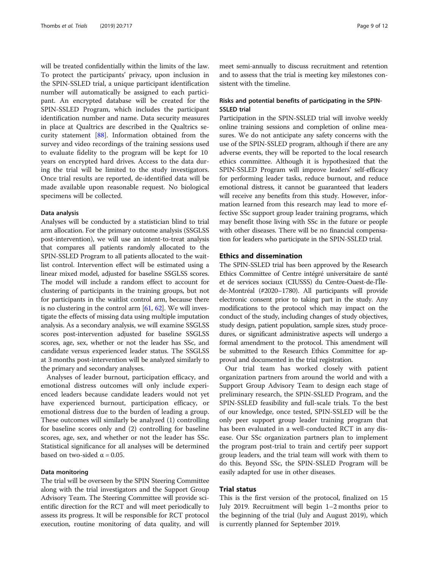will be treated confidentially within the limits of the law. To protect the participants' privacy, upon inclusion in the SPIN-SSLED trial, a unique participant identification number will automatically be assigned to each participant. An encrypted database will be created for the SPIN-SSLED Program, which includes the participant identification number and name. Data security measures in place at Qualtrics are described in the Qualtrics security statement [\[88\]](#page-11-0). Information obtained from the survey and video recordings of the training sessions used to evaluate fidelity to the program will be kept for 10 years on encrypted hard drives. Access to the data during the trial will be limited to the study investigators. Once trial results are reported, de-identified data will be made available upon reasonable request. No biological specimens will be collected.

#### Data analysis

Analyses will be conducted by a statistician blind to trial arm allocation. For the primary outcome analysis (SSGLSS post-intervention), we will use an intent-to-treat analysis that compares all patients randomly allocated to the SPIN-SSLED Program to all patients allocated to the waitlist control. Intervention effect will be estimated using a linear mixed model, adjusted for baseline SSGLSS scores. The model will include a random effect to account for clustering of participants in the training groups, but not for participants in the waitlist control arm, because there is no clustering in the control arm  $[61, 62]$  $[61, 62]$  $[61, 62]$  $[61, 62]$ . We will investigate the effects of missing data using multiple imputation analysis. As a secondary analysis, we will examine SSGLSS scores post-intervention adjusted for baseline SSGLSS scores, age, sex, whether or not the leader has SSc, and candidate versus experienced leader status. The SSGLSS at 3 months post-intervention will be analyzed similarly to the primary and secondary analyses.

Analyses of leader burnout, participation efficacy, and emotional distress outcomes will only include experienced leaders because candidate leaders would not yet have experienced burnout, participation efficacy, or emotional distress due to the burden of leading a group. These outcomes will similarly be analyzed (1) controlling for baseline scores only and (2) controlling for baseline scores, age, sex, and whether or not the leader has SSc. Statistical significance for all analyses will be determined based on two-sided  $\alpha$  = 0.05.

## Data monitoring

The trial will be overseen by the SPIN Steering Committee along with the trial investigators and the Support Group Advisory Team. The Steering Committee will provide scientific direction for the RCT and will meet periodically to assess its progress. It will be responsible for RCT protocol execution, routine monitoring of data quality, and will meet semi-annually to discuss recruitment and retention and to assess that the trial is meeting key milestones consistent with the timeline.

## Risks and potential benefits of participating in the SPIN-SSLED trial

Participation in the SPIN-SSLED trial will involve weekly online training sessions and completion of online measures. We do not anticipate any safety concerns with the use of the SPIN-SSLED program, although if there are any adverse events, they will be reported to the local research ethics committee. Although it is hypothesized that the SPIN-SSLED Program will improve leaders' self-efficacy for performing leader tasks, reduce burnout, and reduce emotional distress, it cannot be guaranteed that leaders will receive any benefits from this study. However, information learned from this research may lead to more effective SSc support group leader training programs, which may benefit those living with SSc in the future or people with other diseases. There will be no financial compensation for leaders who participate in the SPIN-SSLED trial.

## Ethics and dissemination

The SPIN-SSLED trial has been approved by the Research Ethics Committee of Centre intégré universitaire de santé et de services sociaux (CIUSSS) du Centre-Ouest-de-l'Îlede-Montréal (#2020–1780). All participants will provide electronic consent prior to taking part in the study. Any modifications to the protocol which may impact on the conduct of the study, including changes of study objectives, study design, patient population, sample sizes, study procedures, or significant administrative aspects will undergo a formal amendment to the protocol. This amendment will be submitted to the Research Ethics Committee for approval and documented in the trial registration.

Our trial team has worked closely with patient organization partners from around the world and with a Support Group Advisory Team to design each stage of preliminary research, the SPIN-SSLED Program, and the SPIN-SSLED feasibility and full-scale trials. To the best of our knowledge, once tested, SPIN-SSLED will be the only peer support group leader training program that has been evaluated in a well-conducted RCT in any disease. Our SSc organization partners plan to implement the program post-trial to train and certify peer support group leaders, and the trial team will work with them to do this. Beyond SSc, the SPIN-SSLED Program will be easily adapted for use in other diseases.

## Trial status

This is the first version of the protocol, finalized on 15 July 2019. Recruitment will begin 1–2 months prior to the beginning of the trial (July and August 2019), which is currently planned for September 2019.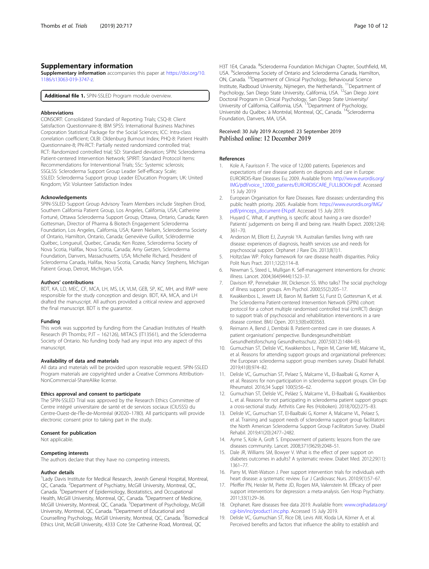## <span id="page-9-0"></span>Supplementary information

Supplementary information accompanies this paper at [https://doi.org/10.](https://doi.org/10.1186/s13063-019-3747-z) [1186/s13063-019-3747-z](https://doi.org/10.1186/s13063-019-3747-z).

Additional file 1. SPIN-SSLED Program module overview.

#### Abbreviations

CONSORT: Consolidated Standard of Reporting Trials; CSQ-8: Client Satisfaction Questionnaire-8; IBM SPSS: International Business Machines Corporation Statistical Package for the Social Sciences; ICC: Intra-class correlation coefficient; OLBI: Oldenburg Burnout Index; PHQ-8: Patient Health Questionnaire-8; PN-RCT: Partially nested randomized controlled trial; RCT: Randomized controlled trial; SD: Standard deviation; SPIN: Scleroderma Patient-centered Intervention Network; SPIRIT: Standard Protocol Items: Recommendations for Interventional Trials; SSc: Systemic sclerosis; SSGLSS: Scleroderma Support Group Leader Self-efficacy Scale; SSLED: Scleroderma Support group Leader EDucation Program; UK: United Kingdom; VSI: Volunteer Satisfaction Index

#### Acknowledgements

SPIN-SSLED Support Group Advisory Team Members include Stephen Elrod, Southern California Patient Group, Los Angeles, California, USA; Catherine Fortuné, Ottawa Scleroderma Support Group, Ottawa, Ontario, Canada; Karen Gottesman, Director of Pharma & Biotech Engagement Scleroderma Foundation, Los Angeles, California, USA; Karen Nielsen, Scleroderma Society of Ontario, Hamilton, Ontario, Canada; Geneviève Guillot, Sclérodermie Québec, Longueuil, Quebec, Canada; Ken Rozee, Scleroderma Society of Nova Scotia, Halifax, Nova Scotia, Canada; Amy Gietzen, Scleroderma Foundation, Danvers, Massachusetts, USA; Michelle Richard, President of Scleroderma Canada, Halifax, Nova Scotia, Canada; Nancy Stephens, Michigan Patient Group, Detroit, Michigan, USA.

### Authors' contributions

BDT, KA, LD, MEC, CF, MCA, LH, MS, LK, VLM, GEB, SP, KC, MH, and RWP were responsible for the study conception and design. BDT, KA, MCA, and LH drafted the manuscript. All authors provided a critical review and approved the final manuscript. BDT is the guarantor.

#### Funding

This work was supported by funding from the Canadian Institutes of Health Research (PI Thombs; PJT – 162126), MITACS (IT13561), and the Scleroderma Society of Ontario. No funding body had any input into any aspect of this manuscript.

#### Availability of data and materials

All data and materials will be provided upon reasonable request. SPIN-SSLED Program materials are copyrighted under a Creative Commons Attribution-NonCommercial-ShareAlike license.

#### Ethics approval and consent to participate

The SPIN-SSLED Trial was approved by the Research Ethics Committee of Centre intégré universitaire de santé et de services sociaux (CIUSSS) du Centre-Ouest-de-l'Île-de-Montréal (#2020–1780). All participants will provide electronic consent prior to taking part in the study.

#### Consent for publication

Not applicable.

#### Competing interests

The authors declare that they have no competing interests.

#### Author details

<sup>1</sup> Lady Davis Institute for Medical Research, Jewish General Hospital, Montreal, QC, Canada. <sup>2</sup>Department of Psychiatry, McGill University, Montreal, QC, Canada. <sup>3</sup>Department of Epidemiology, Biostatistics, and Occupational Health, McGill University, Montreal, QC, Canada. <sup>4</sup>Department of Medicine, McGill University, Montreal, QC, Canada. <sup>5</sup>Department of Psychology, McGill University, Montreal, QC, Canada. <sup>6</sup>Department of Educational and Counselling Psychology, McGill University, Montreal, QC, Canada. <sup>7</sup> Biomedical Ethics Unit, McGill University, 4333 Cote Ste Catherine Road, Montreal, QC

H3T 1E4, Canada. <sup>8</sup>Scleroderma Foundation Michigan Chapter, Southfield, MI USA. <sup>9</sup>Scleroderma Society of Ontario and Scleroderma Canada, Hamilton, ON, Canada. 10Department of Clinical Psychology, Behavioural Science Institute, Radboud University, Nijmegen, the Netherlands. <sup>11</sup>Department of Psychology, San Diego State University, California, USA. <sup>12</sup>San Diego Joint Doctoral Program in Clinical Psychology, San Diego State University/<br>University of California, California, USA. <sup>13</sup>Department of Psychology, Université du Québec à Montréal, Montreal, QC, Canada. <sup>14</sup>Scleroderma Foundation, Danvers, MA, USA.

#### Received: 30 July 2019 Accepted: 23 September 2019 Published online: 12 December 2019

#### References

- 1. Kole A, Faurisson F. The voice of 12,000 patients. Experiences and expectations of rare disease patients on diagnosis and care in Europe: EURORDIS-Rare Diseases Eu; 2009. Available from: [http://www.eurordis.org/](http://www.eurordis.org/IMG/pdf/voice_12000_patients/EURORDISCARE_FULLBOOKr.pdf) [IMG/pdf/voice\\_12000\\_patients/EURORDISCARE\\_FULLBOOKr.pdf.](http://www.eurordis.org/IMG/pdf/voice_12000_patients/EURORDISCARE_FULLBOOKr.pdf) Accessed 15 July 2019
- 2. European Organisation for Rare Diseases. Rare diseases: understanding this public health priority. 2005. Available from: [https://www.eurordis.org/IMG/](https://www.eurordis.org/IMG/pdf/princeps_document-EN.pdf) [pdf/princeps\\_document-EN.pdf.](https://www.eurordis.org/IMG/pdf/princeps_document-EN.pdf) Accessed 15 July 2019.
- 3. Huyard C. What, if anything, is specific about having a rare disorder? Patients' judgements on being ill and being rare. Health Expect. 2009;12(4): 361–70.
- 4. Anderson M, Elliott EJ, Zurynski YA. Australian families living with rare disease: experiences of diagnosis, health services use and needs for psychosocial support. Orphanet J Rare Dis. 2013;8(1):1.
- 5. Holtzclaw WP. Policy framework for rare disease health disparities. Policy Polit Nurs Pract. 2011;12(2):114–8.
- 6. Newman S, Steed L, Mulligan K. Self-management interventions for chronic illness. Lancet. 2004;364(9444):1523–37.
- 7. Davison KP, Pennebaker JW, Dickerson SS. Who talks? The social psychology of illness support groups. Am Psychol. 2000;55(2):205–17.
- 8. Kwakkenbos L, Jewett LR, Baron M, Bartlett SJ, Furst D, Gottesman K, et al. The Scleroderma Patient-centered Intervention Network (SPIN) cohort: protocol for a cohort multiple randomised controlled trial (cmRCT) design to support trials of psychosocial and rehabilitation interventions in a rare disease context. BMJ Open. 2013;3(8):e003563.
- 9. Reimann A, Bend J, Dembski B. Patient-centred care in rare diseases. A patient organisations' perspective. Bundesgesundheitsblatt Gesundheitsforschung Gesundheitsschutz. 2007;50(12):1484–93.
- 10. Gumuchian ST, Delisle VC, Kwakkenbos L, Pepin M, Carrier ME, Malcarne VL, et al. Reasons for attending support groups and organizational preferences: the European scleroderma support group members survey. Disabil Rehabil. 2019;41(8):974–82.
- 11. Delisle VC, Gumuchian ST, Pelaez S, Malcarne VL, El-Baalbaki G, Korner A, et al. Reasons for non-participation in scleroderma support groups. Clin Exp Rheumatol. 2016;34 Suppl 100(5):56–62.
- 12. Gumuchian ST, Delisle VC, Peláez S, Malcarne VL, El-Baalbaki G, Kwakkenbos L, et al. Reasons for not participating in scleroderma patient support groups: a cross-sectional study. Arthritis Care Res (Hoboken). 2018;70(2):275–83.
- 13. Delisle VC, Gumuchian ST, El-Baalbaki G, Korner A, Malcarne VL, Pelaez S, et al. Training and support needs of scleroderma support group facilitators: the North American Scleroderma Support Group Facilitators Survey. Disabil Rehabil. 2019;41(20):2477–2482.
- 14. Ayme S, Kole A, Groft S. Empowerment of patients: lessons from the rare diseases community. Lancet. 2008;371(9629):2048–51.
- 15. Dale JR, Williams SM, Bowyer V. What is the effect of peer support on diabetes outcomes in adults? A systematic review. Diabet Med. 2012;29(11): 1361–77.
- 16. Parry M, Watt-Watson J. Peer support intervention trials for individuals with heart disease: a systematic review. Eur J Cardiovasc Nurs. 2010;9(1):57–67.
- 17. Pfeiffer PN, Heisler M, Piette JD, Rogers MA, Valenstein M. Efficacy of peer support interventions for depression: a meta-analysis. Gen Hosp Psychiatry. 2011;33(1):29–36.
- 18. Orphanet. Rare diseases free data 2019. Available from: [www.orphadata.org/](http://www.orphadata.org/cgi-bin/inc/product1.inc.php) [cgi-bin/inc/product1.inc.php.](http://www.orphadata.org/cgi-bin/inc/product1.inc.php) Accessed 15 July 2019.
- 19. Delisle VC, Gumuchian ST, Rice DB, Levis AW, Kloda LA, Körner A, et al. Perceived benefits and factors that influence the ability to establish and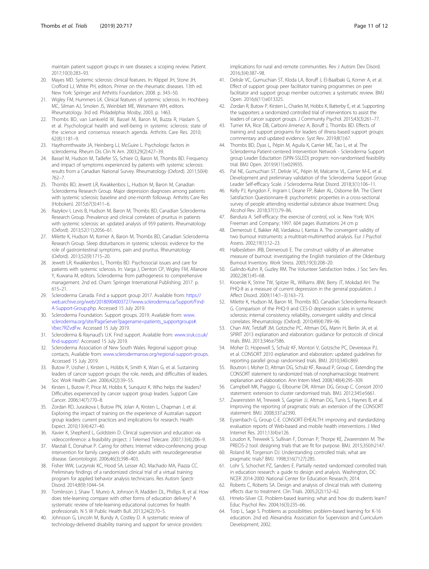<span id="page-10-0"></span>maintain patient support groups in rare diseases: a scoping review. Patient. 2017;10(3):283–93.

- 20. Mayes MD. Systemic sclerosis: clinical features. In: Klippel JH, Stone JH, Crofford LJ, White PH, editors. Primer on the rheumatic diseases. 13th ed. New York: Springer and Arthritis Foundation; 2008. p. 343–50.
- 21. Wigley FM, Hummers LK. Clinical features of systemic sclerosis. In: Hochberg MC, Silman AJ, Smolen JS, Weinblatt ME, Weismann WH, editors. Rheumatology. 3rd ed. Philadelphia: Mosby; 2003. p. 1463.
- 22. Thombs BD, van Lankveld W, Bassel M, Baron M, Buzza R, Haslam S, et al. Psychological health and well-being in systemic sclerosis: state of the science and consensus research agenda. Arthritis Care Res. 2010; 62(8):1181–9.
- 23. Haythornthwaite JA, Heinberg LJ, McGuire L. Psychologic factors in scleroderma. Rheum Dis Clin N Am. 2003;29(2):427–39.
- 24. Bassel M, Hudson M, Taillefer SS, Schieir O, Baron M, Thombs BD. Frequency and impact of symptoms experienced by patients with systemic sclerosis: results from a Canadian National Survey. Rheumatology (Oxford). 2011;50(4): 762–7.
- 25. Thombs BD, Jewett LR, Kwakkenbos L, Hudson M, Baron M, Canadian Scleroderma Research Group. Major depression diagnoses among patients with systemic sclerosis: baseline and one-month followup. Arthritis Care Res (Hoboken). 2015;67(3):411–6.
- 26. Razykov I, Levis B, Hudson M, Baron M, Thombs BD, Canadian Scleroderma Research Group. Prevalence and clinical correlates of pruritus in patients with systemic sclerosis: an updated analysis of 959 patients. Rheumatology (Oxford). 2013;52(11):2056–61.
- 27. Milette K, Hudson M, Korner A, Baron M, Thombs BD, Canadian Scleroderma Research Group. Sleep disturbances in systemic sclerosis: evidence for the role of gastrointestinal symptoms, pain and pruritus. Rheumatology (Oxford). 2013;52(9):1715–20.
- 28. Jewett LR, Kwakkenbos L, Thombs BD. Psychosocial issues and care for patients with systemic sclerosis. In: Varga J, Denton CP, Wigley FM, Allanore Y, Kuwana M, editors. Scleroderma: from pathogenesis to comprehensive management. 2nd ed. Cham: Springer International Publishing; 2017. p. 615–21.
- 29. Scleroderma Canada. Find a support group 2017. Available from: [https://](https://web.archive.org/web/20180904003727/www.scleroderma.ca/Support/Find-A-Support-Group.php) [web.archive.org/web/20180904003727/www.scleroderma.ca/Support/Find-](https://web.archive.org/web/20180904003727/www.scleroderma.ca/Support/Find-A-Support-Group.php)[A-Support-Group.php](https://web.archive.org/web/20180904003727/www.scleroderma.ca/Support/Find-A-Support-Group.php). Accessed 15 July 2019.
- 30. Scleroderma Foundation. Support groups. 2019. Available from: [www.](http://www.scleroderma.org/site/PageServer?pagename=patients_supportgroups#.Vbec7RZvdFw) [scleroderma.org/site/PageServer?pagename=patients\\_supportgroups#.](http://www.scleroderma.org/site/PageServer?pagename=patients_supportgroups#.Vbec7RZvdFw) [Vbec7RZvdFw.](http://www.scleroderma.org/site/PageServer?pagename=patients_supportgroups#.Vbec7RZvdFw) Accessed 15 July 2019.
- 31. Scleroderma & Raynaud's U.K. Find support. Available from: [www.sruk.co.uk/](http://www.sruk.co.uk/find-support/) [find-support/](http://www.sruk.co.uk/find-support/). Accessed 15 July 2019.
- 32. Scleroderma Association of New South Wales. Regional support group contacts. Available from: [www.sclerodermansw.org/regional-support-groups.](http://www.sclerodermansw.org/regional-support-groups) Accessed 15 July 2019.
- 33. Butow P, Ussher J, Kirsten L, Hobbs K, Smith K, Wain G, et al. Sustaining leaders of cancer support groups: the role, needs, and difficulties of leaders. Soc Work Health Care. 2006;42(2):39–55.
- 34. Kirsten L, Butow P, Price M, Hobbs K, Sunquist K. Who helps the leaders? Difficulties experienced by cancer support group leaders. Support Care Cancer. 2006;14(7):770–8.
- 35. Zordan RD, Juraskova I, Butow PN, Jolan A, Kirsten L, Chapman J, et al. Exploring the impact of training on the experience of Australian support group leaders: current practices and implications for research. Health Expect. 2010;13(4):427–40.
- 36. Xavier K, Shepherd L, Goldstein D. Clinical supervision and education via videoconference: a feasibility project. J Telemed Telecare. 2007;13(4):206–9.
- 37. Marziali E, Donahue P. Caring for others: Internet video-conferencing group intervention for family caregivers of older adults with neurodegenerative disease. Gerontologist. 2006;46(3):398–403.
- 38. Fisher WW, Luczynski KC, Hood SA, Lesser AD, Machado MA, Piazza CC. Preliminary findings of a randomized clinical trial of a virtual training program for applied behavior analysis technicians. Res Autism Spectr Disord. 2014;8(9):1044–54.
- 39. Tomlinson J, Shaw T, Munro A, Johnson R, Madden DL, Phillips R, et al. How does tele-learning compare with other forms of education delivery? A systematic review of tele-learning educational outcomes for health professionals. N S W Public Health Bull. 2013;24(2):70–5.
- 40. Johnsson G, Lincoln M, Bundy A, Costley D. A systematic review of technology-delivered disability training and support for service providers:

implications for rural and remote communities. Rev J Autism Dev Disord. 2016;3(4):387–98.

- 41. Delisle VC, Gumuchian ST, Kloda LA, Boruff J, El-Baalbaki G, Korner A, et al. Effect of support group peer facilitator training programmes on peer facilitator and support group member outcomes: a systematic review. BMJ Open. 2016;6(11):e013325.
- 42. Zordan R, Butow P, Kirsten L, Charles M, Hobbs K, Batterby E, et al. Supporting the supporters: a randomized controlled trial of interventions to assist the leaders of cancer support groups. J Community Psychol. 2015;43(3):261–77.
- 43. Turner KA, Rice DB, Carboni-Jimenez A, Boruff J, Thombs BD. Effects of training and support programs for leaders of illness-based support groups: commentary and updated evidence. Syst Rev. 2019;8(1):67.
- 44. Thombs BD, Dyas L, Pépin M, Aguila K, Carrier ME, Tao L, et al. The Scleroderma Patient-centered Intervention Network - Scleroderma Support group Leader Eductation (SPIN-SSLED) program: non-randomised feasibility trial. BMJ Open. 2019;9(11):e029935.
- 45. Pal NE, Gumuchian ST, Delisle VC, Pépin M, Malcarne VL, Carrier M-E, et al. Development and preliminary validation of the Scleroderma Support Group Leader Self-efficacy Scale. J Scleroderma Relat Disord. 2018;3(1):106–11.
- 46. Kelly PJ, Kyngdon F, Ingram I, Deane FP, Baker AL, Osborne BA. The Client Satisfaction Questionnaire-8: psychometric properties in a cross-sectional survey of people attending residential substance abuse treatment. Drug Alcohol Rev. 2018;37(1):79–86.
- 47. Bandura A. Self-efficacy: the exercise of control, vol. ix. New York: W.H. Freeman and Company; 1997. 604 pages illustrations 24 cm p
- 48. Demerouti E, Bakker AB, Vardakou I, Kantas A. The convergent validity of two burnout instruments: a multitrait-multimethod analysis. Eur J Psychol Assess. 2002;19(1):12–23.
- 49. Halbesleben JRB, Demerouti E. The construct validity of an alternative measure of burnout: investigating the English translation of the Oldenburg Burnout Inventory. Work Stress. 2005;19(3):208–20.
- 50. Galindo-Kuhn R, Guzley RM. The Volunteer Satisfaction Index. J Soc Serv Res. 2002;28(1):45–68.
- 51. Kroenke K, Strine TW, Spitzer RL, Williams JBW, Berry JT, Mokdad AH. The PHQ-8 as a measure of current depression in the general population. J Affect Disord. 2009;114(1–3):163–73.
- 52. Milette K, Hudson M, Baron M, Thombs BD, Canadian Scleroderma Research G. Comparison of the PHQ-9 and CES-D depression scales in systemic sclerosis: internal consistency reliability, convergent validity and clinical correlates. Rheumatology (Oxford). 2010;49(4):789–96.
- 53. Chan AW, Tetzlaff JM, Gotzsche PC, Altman DG, Mann H, Berlin JA, et al. SPIRIT 2013 explanation and elaboration: guidance for protocols of clinical trials. BMJ. 2013;346:e7586.
- 54. Moher D, Hopewell S, Schulz KF, Montori V, Gotzsche PC, Devereaux PJ, et al. CONSORT 2010 explanation and elaboration: updated guidelines for reporting parallel group randomised trials. BMJ. 2010;340:c869.
- 55. Boutron I, Moher D, Altman DG, Schulz KF, Ravaud P, Group C. Extending the CONSORT statement to randomized trials of nonpharmacologic treatment: explanation and elaboration. Ann Intern Med. 2008;148(4):295–309.
- 56. Campbell MK, Piaggio G, Elbourne DR, Altman DG, Group C. Consort 2010 statement: extension to cluster randomised trials. BMJ. 2012;345:e5661.
- 57. Zwarenstein M, Treweek S, Gagnier JJ, Altman DG, Tunis S, Haynes B, et al. Improving the reporting of pragmatic trials: an extension of the CONSORT statement. BMJ. 2008;337:a2390.
- 58. Eysenbach G, Group C-E. CONSORT-EHEALTH: improving and standardizing evaluation reports of Web-based and mobile health interventions. J Med Internet Res. 2011;13(4):e126.
- 59. Loudon K, Treweek S, Sullivan F, Donnan P, Thorpe KE, Zwarenstein M. The PRECIS-2 tool: designing trials that are fit for purpose. BMJ. 2015;350:h2147.
- 60. Roland M, Torgerson DJ. Understanding controlled trials: what are pragmatic trials? BMJ. 1998;316(7127):285.
- 61. Lohr S, Schochet PZ, Sanders E. Partially nested randomized controlled trials in education research: a guide to design and analysis. Washington, DC: NCER 2014-2000: National Center for Education Research; 2014.
- 62. Roberts C, Roberts SA. Design and analysis of clinical trials with clustering effects due to treatment. Clin Trials. 2005;2(2):152–62.
- 63. Hmelo-Silver CE. Problem-based learning: what and how do students learn? Educ Psychol Rev. 2004;16(3):235–66.
- 64. Torp L, Sage S. Problems as possibilities: problem-based learning for K-16 education. 2nd ed. Alexandria. Association for Supervision and Curriculum Development; 2002.